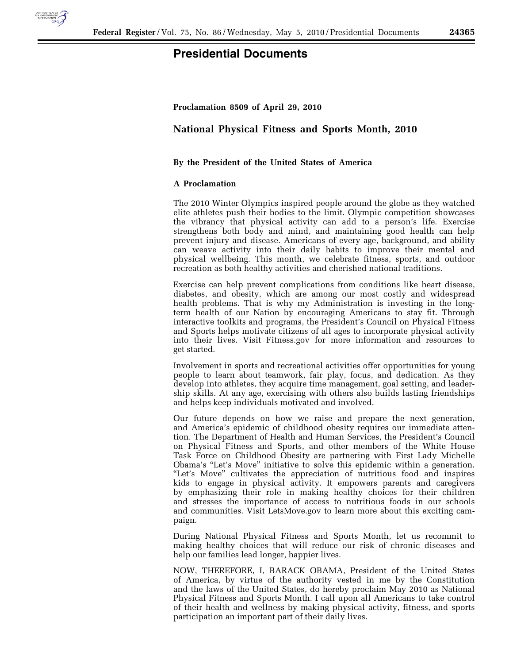

## **Presidential Documents**

**Proclamation 8509 of April 29, 2010** 

## **National Physical Fitness and Sports Month, 2010**

## **By the President of the United States of America**

## **A Proclamation**

The 2010 Winter Olympics inspired people around the globe as they watched elite athletes push their bodies to the limit. Olympic competition showcases the vibrancy that physical activity can add to a person's life. Exercise strengthens both body and mind, and maintaining good health can help prevent injury and disease. Americans of every age, background, and ability can weave activity into their daily habits to improve their mental and physical wellbeing. This month, we celebrate fitness, sports, and outdoor recreation as both healthy activities and cherished national traditions.

Exercise can help prevent complications from conditions like heart disease, diabetes, and obesity, which are among our most costly and widespread health problems. That is why my Administration is investing in the longterm health of our Nation by encouraging Americans to stay fit. Through interactive toolkits and programs, the President's Council on Physical Fitness and Sports helps motivate citizens of all ages to incorporate physical activity into their lives. Visit Fitness.gov for more information and resources to get started.

Involvement in sports and recreational activities offer opportunities for young people to learn about teamwork, fair play, focus, and dedication. As they develop into athletes, they acquire time management, goal setting, and leadership skills. At any age, exercising with others also builds lasting friendships and helps keep individuals motivated and involved.

Our future depends on how we raise and prepare the next generation, and America's epidemic of childhood obesity requires our immediate attention. The Department of Health and Human Services, the President's Council on Physical Fitness and Sports, and other members of the White House Task Force on Childhood Obesity are partnering with First Lady Michelle Obama's ''Let's Move'' initiative to solve this epidemic within a generation. "Let's Move" cultivates the appreciation of nutritious food and inspires kids to engage in physical activity. It empowers parents and caregivers by emphasizing their role in making healthy choices for their children and stresses the importance of access to nutritious foods in our schools and communities. Visit LetsMove.gov to learn more about this exciting campaign.

During National Physical Fitness and Sports Month, let us recommit to making healthy choices that will reduce our risk of chronic diseases and help our families lead longer, happier lives.

NOW, THEREFORE, I, BARACK OBAMA, President of the United States of America, by virtue of the authority vested in me by the Constitution and the laws of the United States, do hereby proclaim May 2010 as National Physical Fitness and Sports Month. I call upon all Americans to take control of their health and wellness by making physical activity, fitness, and sports participation an important part of their daily lives.